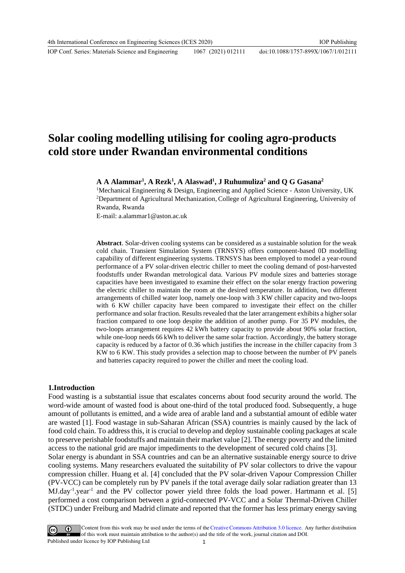IOP Conf. Series: Materials Science and Engineering 1067 (2021) 012111

# **Solar cooling modelling utilising for cooling agro-products cold store under Rwandan environmental conditions**

**A A Alammar<sup>1</sup> , A Rezk<sup>1</sup> , A Alaswad<sup>1</sup> , J Ruhumuliza<sup>2</sup> and Q G Gasana<sup>2</sup>**

<sup>1</sup>Mechanical Engineering & Design, Engineering and Applied Science - Aston University, UK <sup>2</sup>Department of Agricultural Mechanization, College of Agricultural Engineering, University of Rwanda, Rwanda

E-mail: a.alammar1@aston.ac.uk

**Abstract**. Solar-driven cooling systems can be considered as a sustainable solution for the weak cold chain. Transient Simulation System (TRNSYS) offers component-based 0D modelling capability of different engineering systems. TRNSYS has been employed to model a year-round performance of a PV solar-driven electric chiller to meet the cooling demand of post-harvested foodstuffs under Rwandan metrological data. Various PV module sizes and batteries storage capacities have been investigated to examine their effect on the solar energy fraction powering the electric chiller to maintain the room at the desired temperature. In addition, two different arrangements of chilled water loop, namely one-loop with 3 KW chiller capacity and two-loops with 6 KW chiller capacity have been compared to investigate their effect on the chiller performance and solar fraction. Results revealed that the later arrangement exhibits a higher solar fraction compared to one loop despite the addition of another pump. For 35 PV modules, the two-loops arrangement requires 42 kWh battery capacity to provide about 90% solar fraction, while one-loop needs 66 kWh to deliver the same solar fraction. Accordingly, the battery storage capacity is reduced by a factor of 0.36 which justifies the increase in the chiller capacity from 3 KW to 6 KW. This study provides a selection map to choose between the number of PV panels and batteries capacity required to power the chiller and meet the cooling load.

## **1.Introduction**

Food wasting is a substantial issue that escalates concerns about food security around the world. The word-wide amount of wasted food is about one-third of the total produced food. Subsequently, a huge amount of pollutants is emitted, and a wide area of arable land and a substantial amount of edible water are wasted [1]. Food wastage in sub-Saharan African (SSA) countries is mainly caused by the lack of food cold chain. To address this, it is crucial to develop and deploy sustainable cooling packages at scale to preserve perishable foodstuffs and maintain their market value [2]. The energy poverty and the limited access to the national grid are major impediments to the development of secured cold chains [3].

Solar energy is abundant in SSA countries and can be an alternative sustainable energy source to drive cooling systems. Many researchers evaluated the suitability of PV solar collectors to drive the vapour compression chiller. Huang et al. [4] concluded that the PV solar-driven Vapour Compression Chiller (PV-VCC) can be completely run by PV panels if the total average daily solar radiation greater than 13 MJ.day<sup>-1</sup>.year<sup>-1</sup> and the PV collector power yield three folds the load power. Hartmann et al. [5] performed a cost comparison between a grid-connected PV-VCC and a Solar Thermal-Driven Chiller (STDC) under Freiburg and Madrid climate and reported that the former has less primary energy saving

Content from this work may be used under the terms of theCreative Commons Attribution 3.0 licence. Any further distribution of this work must maintain attribution to the author(s) and the title of the work, journal citation and DOI. Published under licence by IOP Publishing Ltd 1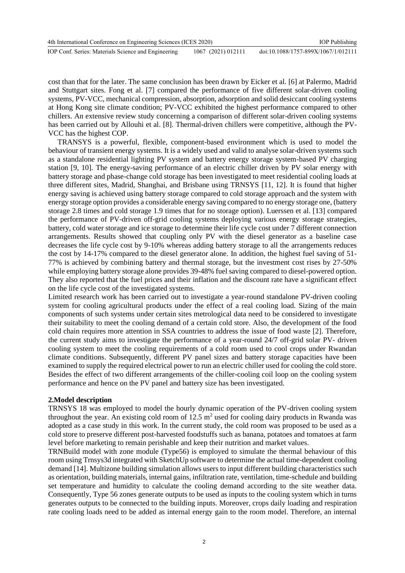cost than that for the later. The same conclusion has been drawn by Eicker et al. [6] at Palermo, Madrid and Stuttgart sites. Fong et al. [7] compared the performance of five different solar-driven cooling systems, PV-VCC, mechanical compression, absorption, adsorption and solid desiccant cooling systems at Hong Kong site climate condition; PV-VCC exhibited the highest performance compared to other chillers. An extensive review study concerning a comparison of different solar-driven cooling systems has been carried out by Allouhi et al. [8]. Thermal-driven chillers were competitive, although the PV-VCC has the highest COP.

 TRANSYS is a powerful, flexible, component-based environment which is used to model the behaviour of transient energy systems. It is a widely used and valid to analyse solar-driven systems such as a standalone residential lighting PV system and battery energy storage system-based PV charging station [9, 10]. The energy-saving performance of an electric chiller driven by PV solar energy with battery storage and phase-change cold storage has been investigated to meet residential cooling loads at three different sites, Madrid, Shanghai, and Brisbane using TRNSYS [11, 12]. It is found that higher energy saving is achieved using battery storage compared to cold storage approach and the system with energy storage option provides a considerable energy saving compared to no energy storage one, (battery storage 2.8 times and cold storage 1.9 times that for no storage option). Luerssen et al. [13] compared the performance of PV-driven off-grid cooling systems deploying various energy storage strategies, battery, cold water storage and ice storage to determine their life cycle cost under 7 different connection arrangements. Results showed that coupling only PV with the diesel generator as a baseline case decreases the life cycle cost by 9-10% whereas adding battery storage to all the arrangements reduces the cost by 14-17% compared to the diesel generator alone. In addition, the highest fuel saving of 51- 77% is achieved by combining battery and thermal storage, but the investment cost rises by 27-50% while employing battery storage alone provides 39-48% fuel saving compared to diesel-powered option. They also reported that the fuel prices and their inflation and the discount rate have a significant effect on the life cycle cost of the investigated systems.

Limited research work has been carried out to investigate a year-round standalone PV-driven cooling system for cooling agricultural products under the effect of a real cooling load. Sizing of the main components of such systems under certain sites metrological data need to be considered to investigate their suitability to meet the cooling demand of a certain cold store. Also, the development of the food cold chain requires more attention in SSA countries to address the issue of food waste [2]. Therefore, the current study aims to investigate the performance of a year-round 24/7 off-grid solar PV- driven cooling system to meet the cooling requirements of a cold room used to cool crops under Rwandan climate conditions. Subsequently, different PV panel sizes and battery storage capacities have been examined to supply the required electrical power to run an electric chiller used for cooling the cold store. Besides the effect of two different arrangements of the chiller-cooling coil loop on the cooling system performance and hence on the PV panel and battery size has been investigated.

### **2.Model description**

TRNSYS 18 was employed to model the hourly dynamic operation of the PV-driven cooling system throughout the year. An existing cold room of  $12.5 \text{ m}^2$  used for cooling dairy products in Rwanda was adopted as a case study in this work. In the current study, the cold room was proposed to be used as a cold store to preserve different post-harvested foodstuffs such as banana, potatoes and tomatoes at farm level before marketing to remain perishable and keep their nutrition and market values.

TRNBuild model with zone module (Type56) is employed to simulate the thermal behaviour of this room using Trnsys3d integrated with SketchUp software to determine the actual time-dependent cooling demand [14]. Multizone building simulation allows users to input different building characteristics such as orientation, building materials, internal gains, infiltration rate, ventilation, time-schedule and building set temperature and humidity to calculate the cooling demand according to the site weather data. Consequently, Type 56 zones generate outputs to be used as inputs to the cooling system which in turns generates outputs to be connected to the building inputs. Moreover, crops daily loading and respiration rate cooling loads need to be added as internal energy gain to the room model. Therefore, an internal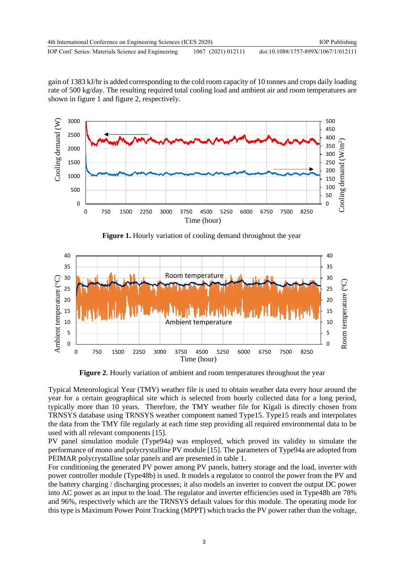gain of 1383 kJ/hr is added corresponding to the cold room capacity of 10 tonnes and crops daily loading rate of 500 kg/day. The resulting required total cooling load and ambient air and room temperatures are shown in figure 1 and figure 2, respectively.



**Figure 1.** Hourly variation of cooling demand throughout the year



**Figure 2.** Hourly variation of ambient and room temperatures throughout the year

Typical Meteorological Year (TMY) weather file is used to obtain weather data every hour around the year for a certain geographical site which is selected from hourly collected data for a long period, typically more than 10 years. Therefore, the TMY weather file for Kigali is directly chosen from TRNSYS database using TRNSYS weather component named Type15. Type15 reads and interpolates the data from the TMY file regularly at each time step providing all required environmental data to be used with all relevant components [15].

PV panel simulation module (Type94a) was employed, which proved its validity to simulate the performance of mono and polycrystalline PV module [15]. The parameters of Type94a are adopted from PEIMAR polycrystalline solar panels and are presented in table 1.

For conditioning the generated PV power among PV panels, battery storage and the load, inverter with power controller module (Type48b) is used. It models a regulator to control the power from the PV and the battery charging / discharging processes; it also models an inverter to convert the output DC power into AC power as an input to the load. The regulator and inverter efficiencies used in Type48b are 78% and 96%, respectively which are the TRNSYS default values for this module. The operating mode for this type is Maximum Power Point Tracking (MPPT) which tracks the PV power rather than the voltage,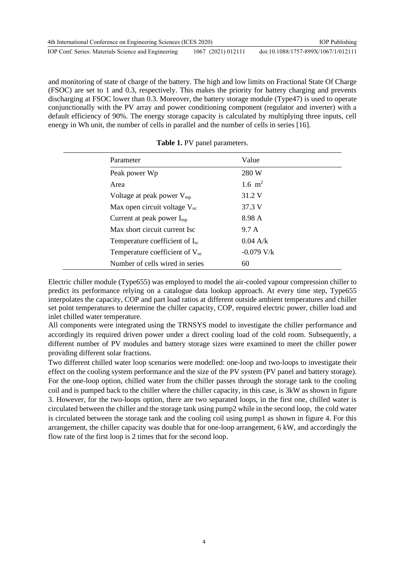| 4th International Conference on Engineering Sciences (ICES 2020) |                    | <b>IOP</b> Publishing               |
|------------------------------------------------------------------|--------------------|-------------------------------------|
| IOP Conf. Series: Materials Science and Engineering              | 1067 (2021) 012111 | doi:10.1088/1757-899X/1067/1/012111 |

and monitoring of state of charge of the battery. The high and low limits on Fractional State Of Charge (FSOC) are set to 1 and 0.3, respectively. This makes the priority for battery charging and prevents discharging at FSOC lower than 0.3. Moreover, the battery storage module (Type47) is used to operate conjunctionally with the PV array and power conditioning component (regulator and inverter) with a default efficiency of 90%. The energy storage capacity is calculated by multiplying three inputs, cell energy in Wh unit, the number of cells in parallel and the number of cells in series [16].

| Parameter                                  | Value        |  |
|--------------------------------------------|--------------|--|
| Peak power Wp                              | 280 W        |  |
| Area                                       | 1.6 $m2$     |  |
| Voltage at peak power $V_{mp}$             | 31.2 V       |  |
| Max open circuit voltage $V_{\text{oc}}$   | 37.3 V       |  |
| Current at peak power $I_{\text{mp}}$      | 8.98 A       |  |
| Max short circuit current Isc              | 9.7 A        |  |
| Temperature coefficient of $I_{\rm sc}$    | $0.04$ A/k   |  |
| Temperature coefficient of $V_{\text{oc}}$ | $-0.079$ V/k |  |
| Number of cells wired in series            | 60           |  |

**Table 1.** PV panel parameters.

Electric chiller module (Type655) was employed to model the air-cooled vapour compression chiller to predict its performance relying on a catalogue data lookup approach. At every time step, Type655 interpolates the capacity, COP and part load ratios at different outside ambient temperatures and chiller set point temperatures to determine the chiller capacity, COP, required electric power, chiller load and inlet chilled water temperature.

All components were integrated using the TRNSYS model to investigate the chiller performance and accordingly its required driven power under a direct cooling load of the cold room. Subsequently, a different number of PV modules and battery storage sizes were examined to meet the chiller power providing different solar fractions.

Two different chilled water loop scenarios were modelled: one-loop and two-loops to investigate their effect on the cooling system performance and the size of the PV system (PV panel and battery storage). For the one-loop option, chilled water from the chiller passes through the storage tank to the cooling coil and is pumped back to the chiller where the chiller capacity, in this case, is 3kW as shown in figure 3. However, for the two-loops option, there are two separated loops, in the first one, chilled water is circulated between the chiller and the storage tank using pump2 while in the second loop, the cold water is circulated between the storage tank and the cooling coil using pump1 as shown in figure 4. For this arrangement, the chiller capacity was double that for one-loop arrangement, 6 kW, and accordingly the flow rate of the first loop is 2 times that for the second loop.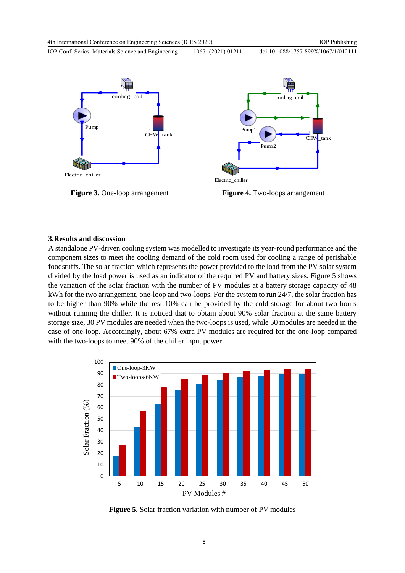doi:10.1088/1757-899X/1067/1/012111

IOP Conf. Series: Materials Science and Engineering 1067 (2021) 012111





**Figure 3.** One-loop arrangement **Figure 4.** Two-loops arrangement

#### **3.Results and discussion**

A standalone PV-driven cooling system was modelled to investigate its year-round performance and the component sizes to meet the cooling demand of the cold room used for cooling a range of perishable foodstuffs. The solar fraction which represents the power provided to the load from the PV solar system divided by the load power is used as an indicator of the required PV and battery sizes. Figure 5 shows the variation of the solar fraction with the number of PV modules at a battery storage capacity of 48 kWh for the two arrangement, one-loop and two-loops. For the system to run 24/7, the solar fraction has to be higher than 90% while the rest 10% can be provided by the cold storage for about two hours without running the chiller. It is noticed that to obtain about 90% solar fraction at the same battery storage size, 30 PV modules are needed when the two-loops is used, while 50 modules are needed in the case of one-loop. Accordingly, about 67% extra PV modules are required for the one-loop compared with the two-loops to meet 90% of the chiller input power.



**Figure 5.** Solar fraction variation with number of PV modules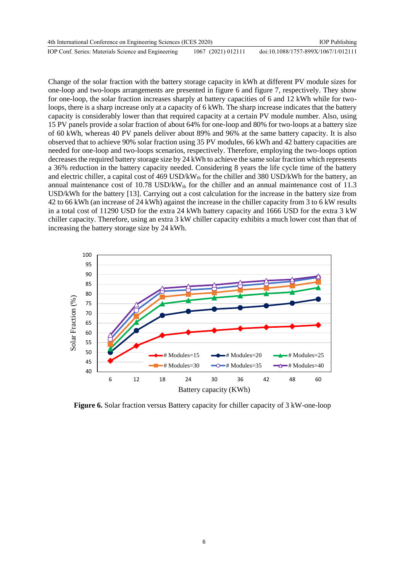| 4th International Conference on Engineering Sciences (ICES 2020) |                    | <b>IOP</b> Publishing               |
|------------------------------------------------------------------|--------------------|-------------------------------------|
| IOP Conf. Series: Materials Science and Engineering              | 1067 (2021) 012111 | doi:10.1088/1757-899X/1067/1/012111 |

Change of the solar fraction with the battery storage capacity in kWh at different PV module sizes for one-loop and two-loops arrangements are presented in figure 6 and figure 7, respectively. They show for one-loop, the solar fraction increases sharply at battery capacities of 6 and 12 kWh while for twoloops, there is a sharp increase only at a capacity of 6 kWh. The sharp increase indicates that the battery capacity is considerably lower than that required capacity at a certain PV module number. Also, using 15 PV panels provide a solar fraction of about 64% for one-loop and 80% for two-loops at a battery size of 60 kWh, whereas 40 PV panels deliver about 89% and 96% at the same battery capacity. It is also observed that to achieve 90% solar fraction using 35 PV modules, 66 kWh and 42 battery capacities are needed for one-loop and two-loops scenarios, respectively. Therefore, employing the two-loops option decreases the required battery storage size by 24 kWh to achieve the same solar fraction which represents a 36% reduction in the battery capacity needed. Considering 8 years the life cycle time of the battery and electric chiller, a capital cost of 469 USD/kWth for the chiller and 380 USD/kWh for the battery, an annual maintenance cost of 10.78 USD/kW $_{th}$  for the chiller and an annual maintenance cost of 11.3 USD/kWh for the battery [13]. Carrying out a cost calculation for the increase in the battery size from 42 to 66 kWh (an increase of 24 kWh) against the increase in the chiller capacity from 3 to 6 kW results in a total cost of 11290 USD for the extra 24 kWh battery capacity and 1666 USD for the extra 3 kW chiller capacity. Therefore, using an extra 3 kW chiller capacity exhibits a much lower cost than that of increasing the battery storage size by 24 kWh.



**Figure 6.** Solar fraction versus Battery capacity for chiller capacity of 3 kW-one-loop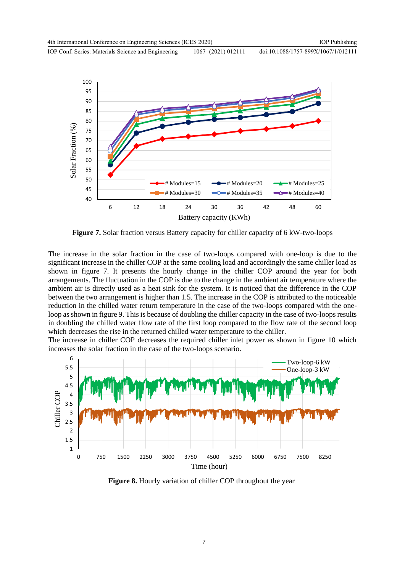IOP Conf. Series: Materials Science and Engineering 1067 (2021) 012111 doi:10.1088/1757-899X/1067/1/012111



**Figure 7.** Solar fraction versus Battery capacity for chiller capacity of 6 kW-two-loops

The increase in the solar fraction in the case of two-loops compared with one-loop is due to the significant increase in the chiller COP at the same cooling load and accordingly the same chiller load as shown in figure 7. It presents the hourly change in the chiller COP around the year for both arrangements. The fluctuation in the COP is due to the change in the ambient air temperature where the ambient air is directly used as a heat sink for the system. It is noticed that the difference in the COP between the two arrangement is higher than 1.5. The increase in the COP is attributed to the noticeable reduction in the chilled water return temperature in the case of the two-loops compared with the oneloop as shown in figure 9. This is because of doubling the chiller capacity in the case of two-loops results in doubling the chilled water flow rate of the first loop compared to the flow rate of the second loop which decreases the rise in the returned chilled water temperature to the chiller.

The increase in chiller COP decreases the required chiller inlet power as shown in figure 10 which increases the solar fraction in the case of the two-loops scenario.



**Figure 8.** Hourly variation of chiller COP throughout the year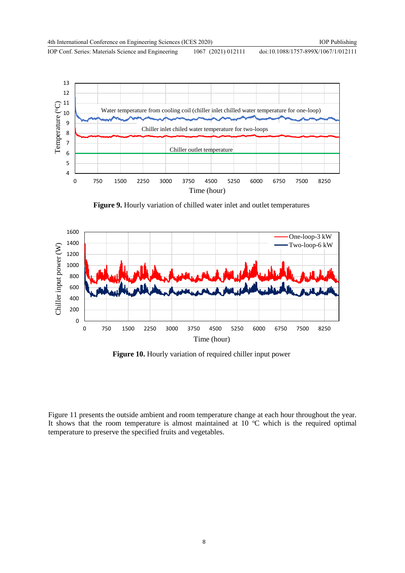IOP Conf. Series: Materials Science and Engineering 1067 (2021) 012111



**Figure 9.** Hourly variation of chilled water inlet and outlet temperatures



Figure 10. Hourly variation of required chiller input power

Figure 11 presents the outside ambient and room temperature change at each hour throughout the year. It shows that the room temperature is almost maintained at  $10\degree$ C which is the required optimal temperature to preserve the specified fruits and vegetables.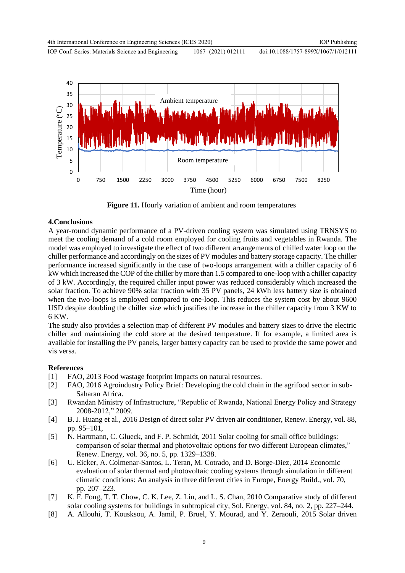

**Figure 11.** Hourly variation of ambient and room temperatures

## **4.Conclusions**

A year-round dynamic performance of a PV-driven cooling system was simulated using TRNSYS to meet the cooling demand of a cold room employed for cooling fruits and vegetables in Rwanda. The model was employed to investigate the effect of two different arrangements of chilled water loop on the chiller performance and accordingly on the sizes of PV modules and battery storage capacity. The chiller performance increased significantly in the case of two-loops arrangement with a chiller capacity of 6 kW which increased the COP of the chiller by more than 1.5 compared to one-loop with a chiller capacity of 3 kW. Accordingly, the required chiller input power was reduced considerably which increased the solar fraction. To achieve 90% solar fraction with 35 PV panels, 24 kWh less battery size is obtained when the two-loops is employed compared to one-loop. This reduces the system cost by about 9600 USD despite doubling the chiller size which justifies the increase in the chiller capacity from 3 KW to 6 KW.

The study also provides a selection map of different PV modules and battery sizes to drive the electric chiller and maintaining the cold store at the desired temperature. If for example, a limited area is available for installing the PV panels, larger battery capacity can be used to provide the same power and vis versa.

## **References**

- [1] FAO, 2013 Food wastage footprint Impacts on natural resources.
- [2] FAO, 2016 Agroindustry Policy Brief: Developing the cold chain in the agrifood sector in sub- Saharan Africa.
- [3] Rwandan Ministry of Infrastructure, "Republic of Rwanda, National Energy Policy and Strategy 2008-2012," 2009.
- [4] B. J. Huang et al., 2016 Design of direct solar PV driven air conditioner, Renew. Energy, vol. 88, pp. 95–101,
- [5] N. Hartmann, C. Glueck, and F. P. Schmidt, 2011 Solar cooling for small office buildings: comparison of solar thermal and photovoltaic options for two different European climates," Renew. Energy, vol. 36, no. 5, pp. 1329–1338.
- [6] U. Eicker, A. Colmenar-Santos, L. Teran, M. Cotrado, and D. Borge-Diez, 2014 Economic evaluation of solar thermal and photovoltaic cooling systems through simulation in different climatic conditions: An analysis in three different cities in Europe, Energy Build., vol. 70, pp. 207–223.
- [7] K. F. Fong, T. T. Chow, C. K. Lee, Z. Lin, and L. S. Chan, 2010 Comparative study of different solar cooling systems for buildings in subtropical city, Sol. Energy, vol. 84, no. 2, pp. 227–244.
- [8] A. Allouhi, T. Kousksou, A. Jamil, P. Bruel, Y. Mourad, and Y. Zeraouli, 2015 Solar driven